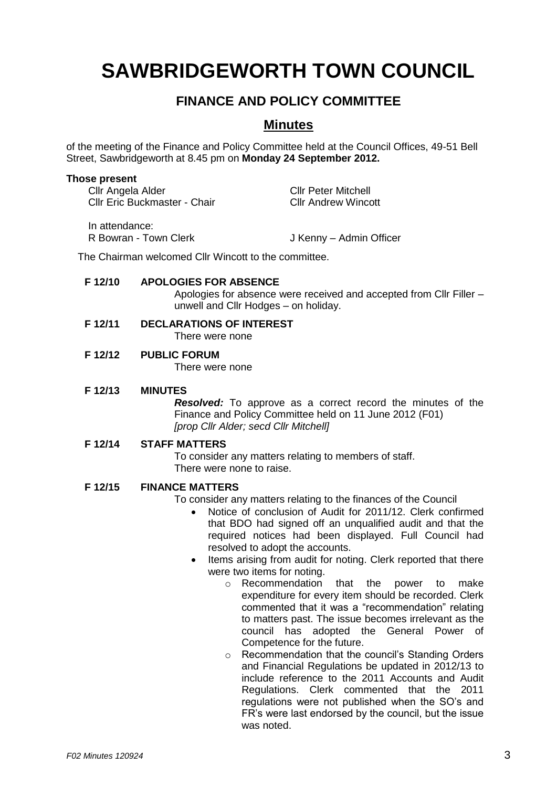# **SAWBRIDGEWORTH TOWN COUNCIL**

# **FINANCE AND POLICY COMMITTEE**

### **Minutes**

of the meeting of the Finance and Policy Committee held at the Council Offices, 49-51 Bell Street, Sawbridgeworth at 8.45 pm on **Monday 24 September 2012.**

#### **Those present**

| Cllr Angela Alder                       | <b>Cllr Peter Mitchell</b> |
|-----------------------------------------|----------------------------|
| <b>CIIr Eric Buckmaster - Chair</b>     | <b>CIIr Andrew Wincott</b> |
| In attendance:<br>R Bowran - Town Clerk | J Kenny - Admin Officer    |

The Chairman welcomed Cllr Wincott to the committee.

#### **F 12/10 APOLOGIES FOR ABSENCE**

Apologies for absence were received and accepted from Cllr Filler – unwell and Cllr Hodges – on holiday.

# **F 12/11 DECLARATIONS OF INTEREST**

There were none

## **F 12/12 PUBLIC FORUM**

There were none

#### **F 12/13 MINUTES**

*Resolved:* To approve as a correct record the minutes of the Finance and Policy Committee held on 11 June 2012 (F01) *[prop Cllr Alder; secd Cllr Mitchell]*

#### **F 12/14 STAFF MATTERS**

To consider any matters relating to members of staff. There were none to raise.

#### **F 12/15 FINANCE MATTERS**

To consider any matters relating to the finances of the Council

- Notice of conclusion of Audit for 2011/12. Clerk confirmed that BDO had signed off an unqualified audit and that the required notices had been displayed. Full Council had resolved to adopt the accounts.
- Items arising from audit for noting. Clerk reported that there were two items for noting.
	- o Recommendation that the power to make expenditure for every item should be recorded. Clerk commented that it was a "recommendation" relating to matters past. The issue becomes irrelevant as the council has adopted the General Power of Competence for the future.
	- o Recommendation that the council's Standing Orders and Financial Regulations be updated in 2012/13 to include reference to the 2011 Accounts and Audit Regulations. Clerk commented that the 2011 regulations were not published when the SO's and FR's were last endorsed by the council, but the issue was noted.